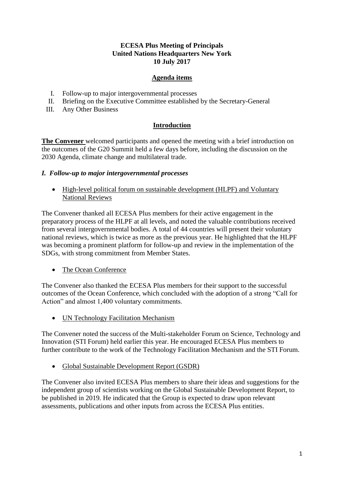#### **ECESA Plus Meeting of Principals United Nations Headquarters New York 10 July 2017**

## **Agenda items**

- I. Follow-up to major intergovernmental processes
- II. Briefing on the Executive Committee established by the Secretary-General
- III. Any Other Business

# **Introduction**

**The Convener** welcomed participants and opened the meeting with a brief introduction on the outcomes of the G20 Summit held a few days before, including the discussion on the 2030 Agenda, climate change and multilateral trade.

### *I. Follow-up to major intergovernmental processes*

• High-level political forum on sustainable development (HLPF) and Voluntary National Reviews

The Convener thanked all ECESA Plus members for their active engagement in the preparatory process of the HLPF at all levels, and noted the valuable contributions received from several intergovernmental bodies. A total of 44 countries will present their voluntary national reviews, which is twice as more as the previous year. He highlighted that the HLPF was becoming a prominent platform for follow-up and review in the implementation of the SDGs, with strong commitment from Member States.

• The Ocean Conference

The Convener also thanked the ECESA Plus members for their support to the successful outcomes of the Ocean Conference, which concluded with the adoption of a strong "Call for Action" and almost 1,400 voluntary commitments.

• UN Technology Facilitation Mechanism

The Convener noted the success of the Multi-stakeholder Forum on Science, Technology and Innovation (STI Forum) held earlier this year. He encouraged ECESA Plus members to further contribute to the work of the Technology Facilitation Mechanism and the STI Forum.

• Global Sustainable Development Report (GSDR)

The Convener also invited ECESA Plus members to share their ideas and suggestions for the independent group of scientists working on the Global Sustainable Development Report, to be published in 2019. He indicated that the Group is expected to draw upon relevant assessments, publications and other inputs from across the ECESA Plus entities.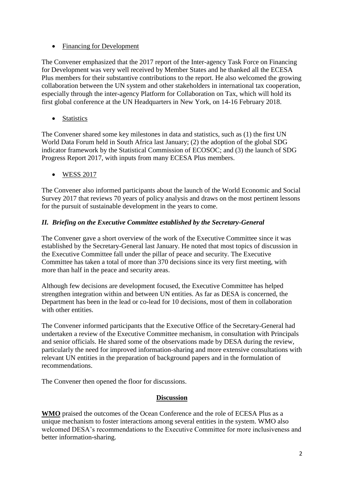### • Financing for Development

The Convener emphasized that the 2017 report of the Inter-agency Task Force on Financing for Development was very well received by Member States and he thanked all the ECESA Plus members for their substantive contributions to the report. He also welcomed the growing collaboration between the UN system and other stakeholders in international tax cooperation, especially through the inter-agency Platform for Collaboration on Tax, which will hold its first global conference at the UN Headquarters in New York, on 14-16 February 2018.

• Statistics

The Convener shared some key milestones in data and statistics, such as (1) the first UN World Data Forum held in South Africa last January; (2) the adoption of the global SDG indicator framework by the Statistical Commission of ECOSOC; and (3) the launch of SDG Progress Report 2017, with inputs from many ECESA Plus members.

• WESS 2017

The Convener also informed participants about the launch of the World Economic and Social Survey 2017 that reviews 70 years of policy analysis and draws on the most pertinent lessons for the pursuit of sustainable development in the years to come.

# *II. Briefing on the Executive Committee established by the Secretary-General*

The Convener gave a short overview of the work of the Executive Committee since it was established by the Secretary-General last January. He noted that most topics of discussion in the Executive Committee fall under the pillar of peace and security. The Executive Committee has taken a total of more than 370 decisions since its very first meeting, with more than half in the peace and security areas.

Although few decisions are development focused, the Executive Committee has helped strengthen integration within and between UN entities. As far as DESA is concerned, the Department has been in the lead or co-lead for 10 decisions, most of them in collaboration with other entities.

The Convener informed participants that the Executive Office of the Secretary-General had undertaken a review of the Executive Committee mechanism, in consultation with Principals and senior officials. He shared some of the observations made by DESA during the review, particularly the need for improved information-sharing and more extensive consultations with relevant UN entities in the preparation of background papers and in the formulation of recommendations.

The Convener then opened the floor for discussions.

## **Discussion**

**WMO** praised the outcomes of the Ocean Conference and the role of ECESA Plus as a unique mechanism to foster interactions among several entities in the system. WMO also welcomed DESA's recommendations to the Executive Committee for more inclusiveness and better information-sharing.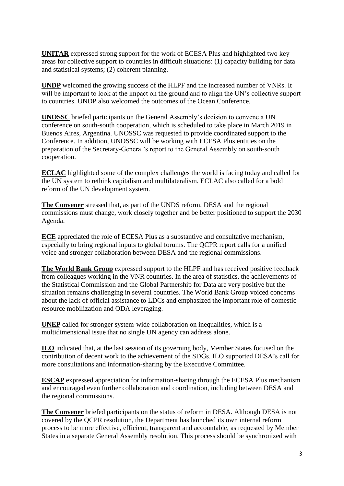**UNITAR** expressed strong support for the work of ECESA Plus and highlighted two key areas for collective support to countries in difficult situations: (1) capacity building for data and statistical systems; (2) coherent planning.

**UNDP** welcomed the growing success of the HLPF and the increased number of VNRs. It will be important to look at the impact on the ground and to align the UN's collective support to countries. UNDP also welcomed the outcomes of the Ocean Conference.

**UNOSSC** briefed participants on the General Assembly's decision to convene a UN conference on south-south cooperation, which is scheduled to take place in March 2019 in Buenos Aires, Argentina. UNOSSC was requested to provide coordinated support to the Conference. In addition, UNOSSC will be working with ECESA Plus entities on the preparation of the Secretary-General's report to the General Assembly on south-south cooperation.

**ECLAC** highlighted some of the complex challenges the world is facing today and called for the UN system to rethink capitalism and multilateralism. ECLAC also called for a bold reform of the UN development system.

**The Convener** stressed that, as part of the UNDS reform, DESA and the regional commissions must change, work closely together and be better positioned to support the 2030 Agenda.

**ECE** appreciated the role of ECESA Plus as a substantive and consultative mechanism, especially to bring regional inputs to global forums. The QCPR report calls for a unified voice and stronger collaboration between DESA and the regional commissions.

**The World Bank Group** expressed support to the HLPF and has received positive feedback from colleagues working in the VNR countries. In the area of statistics, the achievements of the Statistical Commission and the Global Partnership for Data are very positive but the situation remains challenging in several countries. The World Bank Group voiced concerns about the lack of official assistance to LDCs and emphasized the important role of domestic resource mobilization and ODA leveraging.

**UNEP** called for stronger system-wide collaboration on inequalities, which is a multidimensional issue that no single UN agency can address alone.

**ILO** indicated that, at the last session of its governing body, Member States focused on the contribution of decent work to the achievement of the SDGs. ILO supported DESA's call for more consultations and information-sharing by the Executive Committee.

**ESCAP** expressed appreciation for information-sharing through the ECESA Plus mechanism and encouraged even further collaboration and coordination, including between DESA and the regional commissions.

**The Convener** briefed participants on the status of reform in DESA. Although DESA is not covered by the QCPR resolution, the Department has launched its own internal reform process to be more effective, efficient, transparent and accountable, as requested by Member States in a separate General Assembly resolution. This process should be synchronized with